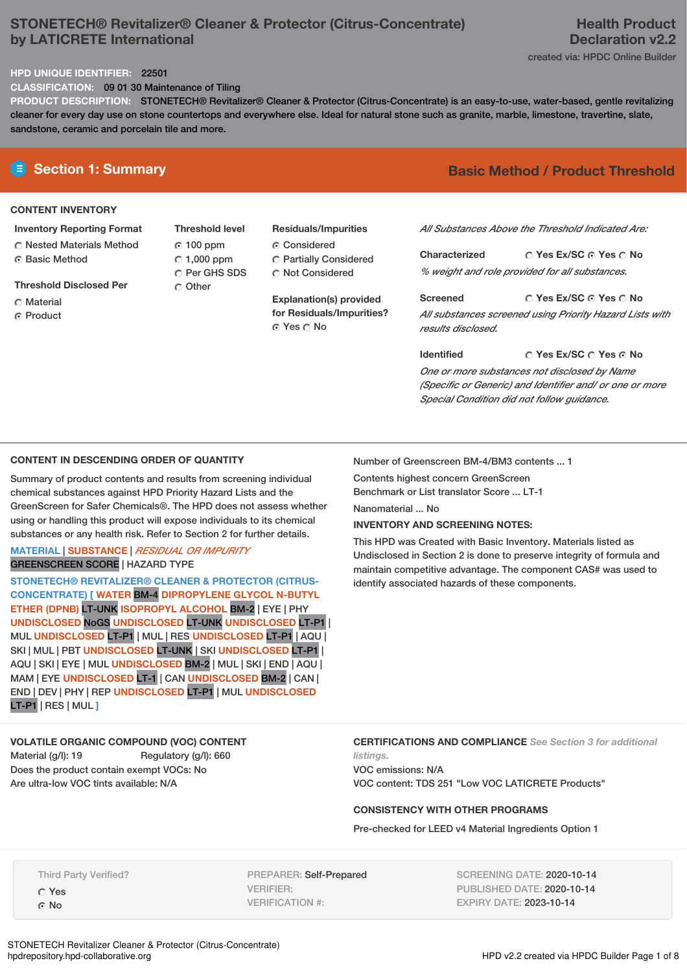# **STONETECH® Revitalizer® Cleaner & Protector (Citrus-Concentrate) by LATICRETE International**

## **HPD UNIQUE IDENTIFIER:** 22501

**CLASSIFICATION:** 09 01 30 Maintenance of Tiling

**PRODUCT DESCRIPTION:** STONETECH® Revitalizer® Cleaner & Protector (Citrus-Concentrate) is an easy-to-use, water-based, gentle revitalizing cleaner for every day use on stone countertops and everywhere else. Ideal for natural stone such as granite, marble, limestone, travertine, slate, sandstone, ceramic and porcelain tile and more.

# **CONTENT INVENTORY**

## **Inventory Reporting Format**

**C** Nested Materials Method ⊙ Basic Method

**Threshold Disclosed Per**

- C Material
- **G** Product

**Threshold level** 100 ppm  $\degree$  1,000 ppm C Per GHS SDS Other

# **Residuals/Impurities** Considered

Partially Considered C Not Considered

**Explanation(s) provided for Residuals/Impurities?** © Yes ○ No

# **E** Section 1: Summary **Basic** Method / Product Threshold

*All Substances Above the Threshold Indicated Are:*

**Yes Ex/SC Yes No Characterized** *% weight and role provided for all substances.*

**Yes Ex/SC Yes No Screened** *All substances screened using Priority Hazard Lists with results disclosed.*

**Yes Ex/SC Yes No Identified** *One or more substances not disclosed by Name (Specific or Generic) and Identifier and/ or one or more Special Condition did not follow guidance.*

## **CONTENT IN DESCENDING ORDER OF QUANTITY**

Summary of product contents and results from screening individual chemical substances against HPD Priority Hazard Lists and the GreenScreen for Safer Chemicals®. The HPD does not assess whether using or handling this product will expose individuals to its chemical substances or any health risk. Refer to Section 2 for further details.

### **MATERIAL** | **SUBSTANCE** | *RESIDUAL OR IMPURITY* GREENSCREEN SCORE | HAZARD TYPE

**STONETECH® REVITALIZER® CLEANER & PROTECTOR (CITRUS-CONCENTRATE) [ WATER** BM-4 **DIPROPYLENE GLYCOL N-BUTYL ETHER (DPNB)** LT-UNK **ISOPROPYL ALCOHOL** BM-2 | EYE | PHY **UNDISCLOSED** NoGS **UNDISCLOSED** LT-UNK **UNDISCLOSED** LT-P1 | MUL **UNDISCLOSED** LT-P1 | MUL | RES **UNDISCLOSED** LT-P1 | AQU | SKI | MUL | PBT **UNDISCLOSED** LT-UNK | SKI **UNDISCLOSED** LT-P1 | AQU | SKI | EYE | MUL **UNDISCLOSED** BM-2 | MUL | SKI | END | AQU | MAM | EYE **UNDISCLOSED** LT-1 | CAN **UNDISCLOSED** BM-2 | CAN | END | DEV | PHY | REP **UNDISCLOSED** LT-P1 | MUL **UNDISCLOSED** LT-P1 | RES | MUL **]**

# **VOLATILE ORGANIC COMPOUND (VOC) CONTENT**

Material (g/l): 19 Regulatory (g/l): 660 Does the product contain exempt VOCs: No Are ultra-low VOC tints available: N/A

Number of Greenscreen BM-4/BM3 contents ... 1

Contents highest concern GreenScreen Benchmark or List translator Score ... LT-1

Nanomaterial ... No

**INVENTORY AND SCREENING NOTES:**

This HPD was Created with Basic Inventory. Materials listed as Undisclosed in Section 2 is done to preserve integrity of formula and maintain competitive advantage. The component CAS# was used to identify associated hazards of these components.

**CERTIFICATIONS AND COMPLIANCE** *See Section 3 for additional*

*listings.* VOC emissions: N/A VOC content: TDS 251 "Low VOC LATICRETE Products"

### **CONSISTENCY WITH OTHER PROGRAMS**

Pre-checked for LEED v4 Material Ingredients Option 1

Third Party Verified? Yes No

PREPARER: Self-Prepared VERIFIER: VERIFICATION #:

SCREENING DATE: 2020-10-14 PUBLISHED DATE: 2020-10-14 EXPIRY DATE: 2023-10-14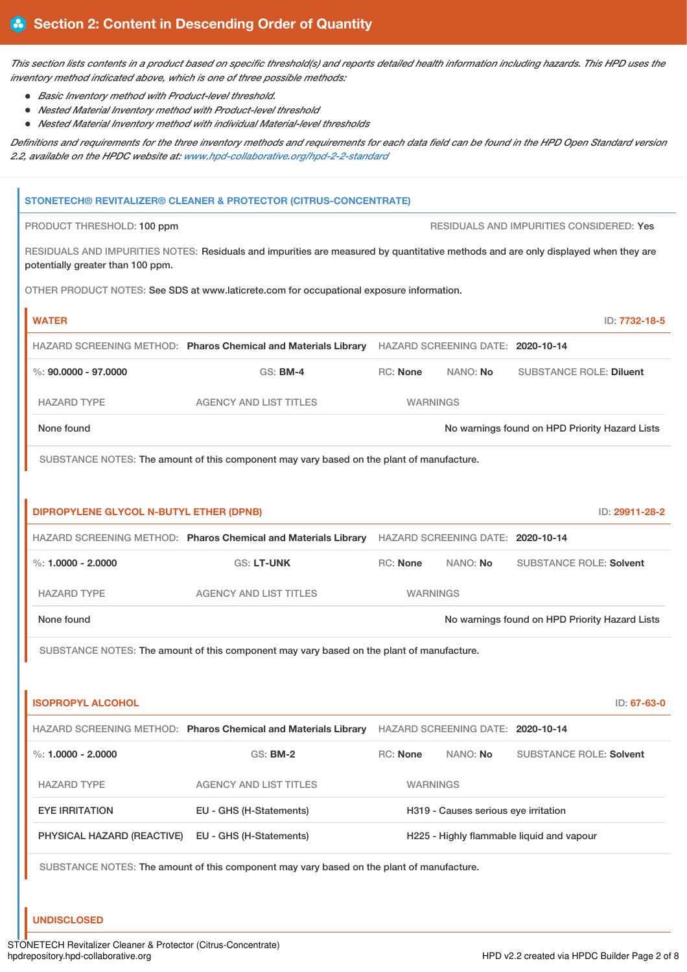This section lists contents in a product based on specific threshold(s) and reports detailed health information including hazards. This HPD uses the *inventory method indicated above, which is one of three possible methods:*

- *Basic Inventory method with Product-level threshold.*
- *Nested Material Inventory method with Product-level threshold*
- *Nested Material Inventory method with individual Material-level thresholds*

Definitions and requirements for the three inventory methods and requirements for each data field can be found in the HPD Open Standard version *2.2, available on the HPDC website at: [www.hpd-collaborative.org/hpd-2-2-standard](https://www.hpd-collaborative.org/hpd-2-2-standard)*

|                                         | <b>STONETECH® REVITALIZER® CLEANER &amp; PROTECTOR (CITRUS-CONCENTRATE)</b>                                                        |                 |                                      |                                                |
|-----------------------------------------|------------------------------------------------------------------------------------------------------------------------------------|-----------------|--------------------------------------|------------------------------------------------|
| PRODUCT THRESHOLD: 100 ppm              |                                                                                                                                    |                 |                                      | RESIDUALS AND IMPURITIES CONSIDERED: Yes       |
| potentially greater than 100 ppm.       | RESIDUALS AND IMPURITIES NOTES: Residuals and impurities are measured by quantitative methods and are only displayed when they are |                 |                                      |                                                |
|                                         | OTHER PRODUCT NOTES: See SDS at www.laticrete.com for occupational exposure information.                                           |                 |                                      |                                                |
| <b>WATER</b>                            |                                                                                                                                    |                 |                                      | ID: 7732-18-5                                  |
|                                         | HAZARD SCREENING METHOD: Pharos Chemical and Materials Library HAZARD SCREENING DATE: 2020-10-14                                   |                 |                                      |                                                |
| $\%$ : 90.0000 - 97.0000                | <b>GS: BM-4</b>                                                                                                                    | RC: None        | NANO: No                             | <b>SUBSTANCE ROLE: Diluent</b>                 |
| <b>HAZARD TYPE</b>                      | <b>AGENCY AND LIST TITLES</b>                                                                                                      | <b>WARNINGS</b> |                                      |                                                |
| None found                              |                                                                                                                                    |                 |                                      | No warnings found on HPD Priority Hazard Lists |
|                                         | SUBSTANCE NOTES: The amount of this component may vary based on the plant of manufacture.                                          |                 |                                      |                                                |
|                                         |                                                                                                                                    |                 |                                      |                                                |
| DIPROPYLENE GLYCOL N-BUTYL ETHER (DPNB) |                                                                                                                                    |                 |                                      | ID: 29911-28-2                                 |
|                                         | HAZARD SCREENING METHOD: Pharos Chemical and Materials Library HAZARD SCREENING DATE: 2020-10-14                                   |                 |                                      |                                                |
| %: $1,0000 - 2,0000$                    | <b>GS: LT-UNK</b>                                                                                                                  | RC: None        | NANO: No                             | <b>SUBSTANCE ROLE: Solvent</b>                 |
| <b>HAZARD TYPE</b>                      | <b>AGENCY AND LIST TITLES</b>                                                                                                      | <b>WARNINGS</b> |                                      |                                                |
| None found                              |                                                                                                                                    |                 |                                      | No warnings found on HPD Priority Hazard Lists |
|                                         | SUBSTANCE NOTES: The amount of this component may vary based on the plant of manufacture.                                          |                 |                                      |                                                |
|                                         |                                                                                                                                    |                 |                                      |                                                |
| <b>ISOPROPYL ALCOHOL</b>                |                                                                                                                                    |                 |                                      | ID: 67-63-0                                    |
|                                         | HAZARD SCREENING METHOD: Pharos Chemical and Materials Library HAZARD SCREENING DATE: 2020-10-14                                   |                 |                                      |                                                |
| %: $1.0000 - 2.0000$                    | <b>GS: BM-2</b>                                                                                                                    | RC: None        | NANO: No                             | <b>SUBSTANCE ROLE: Solvent</b>                 |
| <b>HAZARD TYPE</b>                      | <b>AGENCY AND LIST TITLES</b>                                                                                                      | <b>WARNINGS</b> |                                      |                                                |
| <b>EYE IRRITATION</b>                   | EU - GHS (H-Statements)                                                                                                            |                 | H319 - Causes serious eye irritation |                                                |
| PHYSICAL HAZARD (REACTIVE)              | EU - GHS (H-Statements)                                                                                                            |                 |                                      | H225 - Highly flammable liquid and vapour      |
|                                         | SUBSTANCE NOTES: The amount of this component may vary based on the plant of manufacture.                                          |                 |                                      |                                                |
|                                         |                                                                                                                                    |                 |                                      |                                                |

**UNDISCLOSED**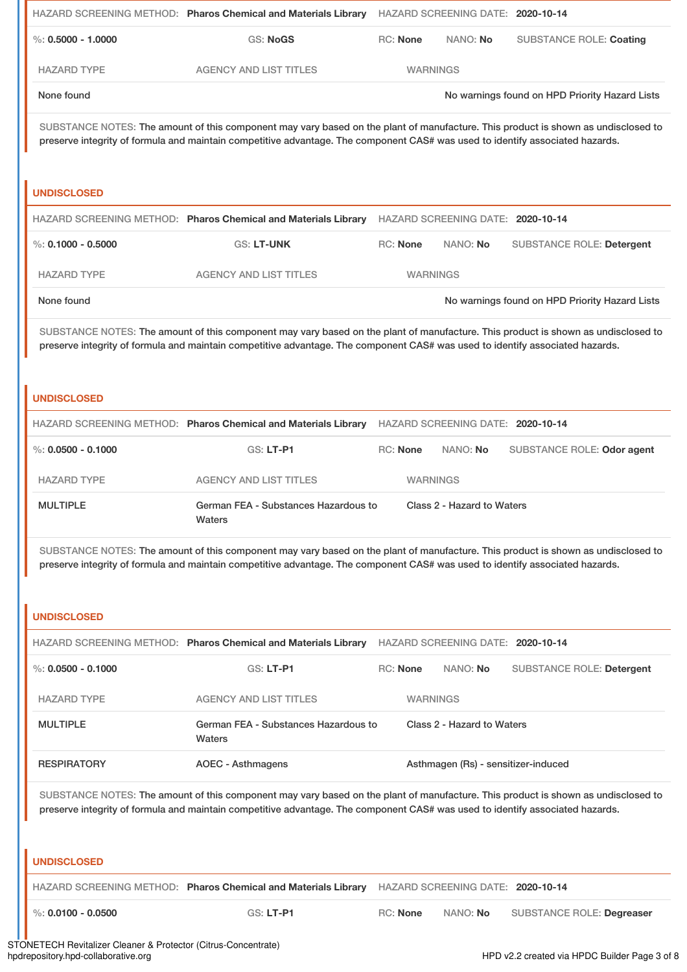|                        | HAZARD SCREENING METHOD: Pharos Chemical and Materials Library                                                                                                                                                                                                     |                 | HAZARD SCREENING DATE: 2020-10-14   |                                                |
|------------------------|--------------------------------------------------------------------------------------------------------------------------------------------------------------------------------------------------------------------------------------------------------------------|-----------------|-------------------------------------|------------------------------------------------|
| $\%$ : 0.5000 - 1.0000 | <b>GS: NoGS</b>                                                                                                                                                                                                                                                    | <b>RC: None</b> | NANO: No                            | <b>SUBSTANCE ROLE: Coating</b>                 |
| <b>HAZARD TYPE</b>     | <b>AGENCY AND LIST TITLES</b>                                                                                                                                                                                                                                      | <b>WARNINGS</b> |                                     |                                                |
| None found             |                                                                                                                                                                                                                                                                    |                 |                                     | No warnings found on HPD Priority Hazard Lists |
| <b>UNDISCLOSED</b>     | SUBSTANCE NOTES: The amount of this component may vary based on the plant of manufacture. This product is shown as undisclosed to<br>preserve integrity of formula and maintain competitive advantage. The component CAS# was used to identify associated hazards. |                 |                                     |                                                |
|                        | HAZARD SCREENING METHOD: Pharos Chemical and Materials Library                                                                                                                                                                                                     |                 | HAZARD SCREENING DATE: 2020-10-14   |                                                |
| $\%$ : 0.1000 - 0.5000 | <b>GS: LT-UNK</b>                                                                                                                                                                                                                                                  | RC: None        | NANO: No                            | <b>SUBSTANCE ROLE: Detergent</b>               |
| <b>HAZARD TYPE</b>     | <b>AGENCY AND LIST TITLES</b>                                                                                                                                                                                                                                      | <b>WARNINGS</b> |                                     |                                                |
| None found             |                                                                                                                                                                                                                                                                    |                 |                                     | No warnings found on HPD Priority Hazard Lists |
|                        | SUBSTANCE NOTES: The amount of this component may vary based on the plant of manufacture. This product is shown as undisclosed to<br>preserve integrity of formula and maintain competitive advantage. The component CAS# was used to identify associated hazards. |                 |                                     |                                                |
| <b>UNDISCLOSED</b>     |                                                                                                                                                                                                                                                                    |                 |                                     |                                                |
|                        | HAZARD SCREENING METHOD: Pharos Chemical and Materials Library HAZARD SCREENING DATE: 2020-10-14                                                                                                                                                                   |                 |                                     |                                                |
| $\%$ : 0.0500 - 0.1000 | <b>GS: LT-P1</b>                                                                                                                                                                                                                                                   | <b>RC: None</b> | NANO: No                            | SUBSTANCE ROLE: Odor agent                     |
| <b>HAZARD TYPE</b>     | <b>AGENCY AND LIST TITLES</b>                                                                                                                                                                                                                                      | <b>WARNINGS</b> |                                     |                                                |
| <b>MULTIPLE</b>        | German FEA - Substances Hazardous to<br>Waters                                                                                                                                                                                                                     |                 | Class 2 - Hazard to Waters          |                                                |
|                        | SUBSTANCE NOTES: The amount of this component may vary based on the plant of manufacture. This product is shown as undisclosed to<br>preserve integrity of formula and maintain competitive advantage. The component CAS# was used to identify associated hazards. |                 |                                     |                                                |
| <b>UNDISCLOSED</b>     | HAZARD SCREENING METHOD: Pharos Chemical and Materials Library                                                                                                                                                                                                     |                 | HAZARD SCREENING DATE: 2020-10-14   |                                                |
| $\%$ : 0.0500 - 0.1000 | <b>GS: LT-P1</b>                                                                                                                                                                                                                                                   | RC: None        | NANO: No                            | SUBSTANCE ROLE: Detergent                      |
| <b>HAZARD TYPE</b>     | <b>AGENCY AND LIST TITLES</b>                                                                                                                                                                                                                                      | <b>WARNINGS</b> |                                     |                                                |
| <b>MULTIPLE</b>        | German FEA - Substances Hazardous to<br>Waters                                                                                                                                                                                                                     |                 | Class 2 - Hazard to Waters          |                                                |
| <b>RESPIRATORY</b>     | <b>AOEC - Asthmagens</b>                                                                                                                                                                                                                                           |                 | Asthmagen (Rs) - sensitizer-induced |                                                |
|                        | SUBSTANCE NOTES: The amount of this component may vary based on the plant of manufacture. This product is shown as undisclosed to<br>preserve integrity of formula and maintain competitive advantage. The component CAS# was used to identify associated hazards. |                 |                                     |                                                |
| <b>UNDISCLOSED</b>     |                                                                                                                                                                                                                                                                    |                 |                                     |                                                |
|                        | HAZARD SCREENING METHOD: Pharos Chemical and Materials Library                                                                                                                                                                                                     |                 | HAZARD SCREENING DATE: 2020-10-14   |                                                |
| %: $0.0100 - 0.0500$   | GS: LT-P1                                                                                                                                                                                                                                                          | RC: None        | NANO: No                            | SUBSTANCE ROLE: Degreaser                      |

STONETECH Revitalizer Cleaner & Protector (Citrus-Concentrate) hpdrepository.hpd-collaborative.org HPD v2.2 created via HPDC Builder Page 3 of 8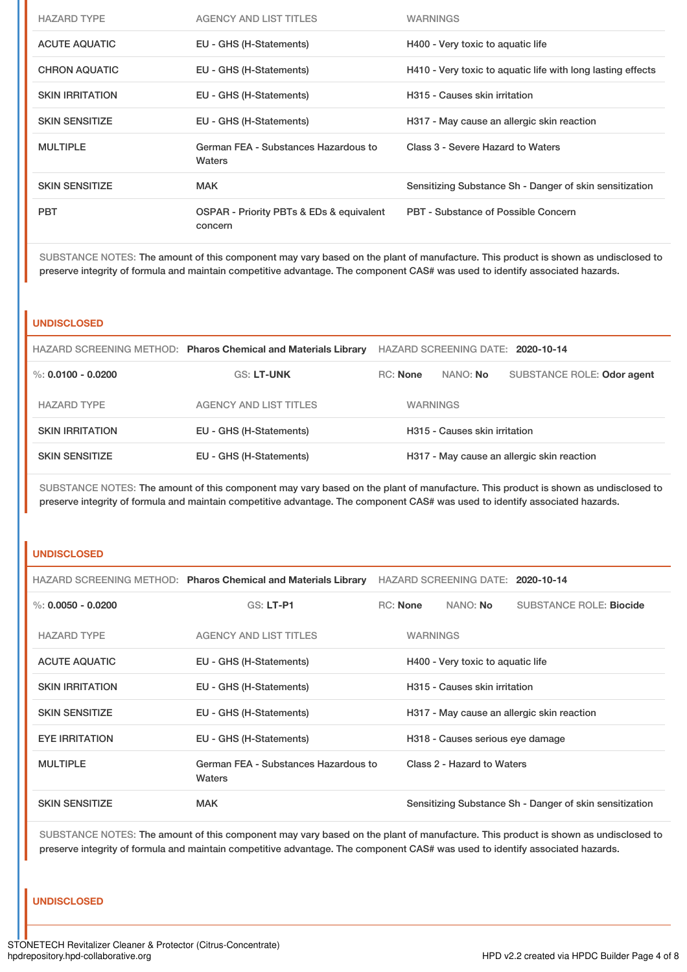| <b>HAZARD TYPE</b>     | <b>AGENCY AND LIST TITLES</b>                       | <b>WARNINGS</b>                                             |
|------------------------|-----------------------------------------------------|-------------------------------------------------------------|
| <b>ACUTE AQUATIC</b>   | EU - GHS (H-Statements)                             | H400 - Very toxic to aquatic life                           |
| <b>CHRON AQUATIC</b>   | EU - GHS (H-Statements)                             | H410 - Very toxic to aquatic life with long lasting effects |
| <b>SKIN IRRITATION</b> | EU - GHS (H-Statements)                             | H315 - Causes skin irritation                               |
| <b>SKIN SENSITIZE</b>  | EU - GHS (H-Statements)                             | H317 - May cause an allergic skin reaction                  |
| <b>MULTIPLE</b>        | German FEA - Substances Hazardous to<br>Waters      | Class 3 - Severe Hazard to Waters                           |
| <b>SKIN SENSITIZE</b>  | <b>MAK</b>                                          | Sensitizing Substance Sh - Danger of skin sensitization     |
| <b>PBT</b>             | OSPAR - Priority PBTs & EDs & equivalent<br>concern | PBT - Substance of Possible Concern                         |

SUBSTANCE NOTES: The amount of this component may vary based on the plant of manufacture. This product is shown as undisclosed to preserve integrity of formula and maintain competitive advantage. The component CAS# was used to identify associated hazards.

#### **UNDISCLOSED**

|                        | HAZARD SCREENING METHOD: Pharos Chemical and Materials Library |          |                               | HAZARD SCREENING DATE: 2020-10-14          |
|------------------------|----------------------------------------------------------------|----------|-------------------------------|--------------------------------------------|
| %: 0.0100 - 0.0200     | <b>GS: LT-UNK</b>                                              | RC: None | NANO: No                      | SUBSTANCE ROLE: Odor agent                 |
| <b>HAZARD TYPE</b>     | AGENCY AND LIST TITLES                                         |          | <b>WARNINGS</b>               |                                            |
| <b>SKIN IRRITATION</b> | EU - GHS (H-Statements)                                        |          | H315 - Causes skin irritation |                                            |
| <b>SKIN SENSITIZE</b>  | EU - GHS (H-Statements)                                        |          |                               | H317 - May cause an allergic skin reaction |

SUBSTANCE NOTES: The amount of this component may vary based on the plant of manufacture. This product is shown as undisclosed to preserve integrity of formula and maintain competitive advantage. The component CAS# was used to identify associated hazards.

#### **UNDISCLOSED**

|                        | HAZARD SCREENING METHOD: Pharos Chemical and Materials Library | HAZARD SCREENING DATE: 2020-10-14 |                 |                                   |                                                         |
|------------------------|----------------------------------------------------------------|-----------------------------------|-----------------|-----------------------------------|---------------------------------------------------------|
| %: $0.0050 - 0.0200$   | <b>GS: LT-P1</b>                                               |                                   | RC: None        | NANO: No                          | <b>SUBSTANCE ROLE: Biocide</b>                          |
| <b>HAZARD TYPE</b>     | <b>AGENCY AND LIST TITLES</b>                                  |                                   | <b>WARNINGS</b> |                                   |                                                         |
| <b>ACUTE AQUATIC</b>   | EU - GHS (H-Statements)                                        |                                   |                 | H400 - Very toxic to aquatic life |                                                         |
| <b>SKIN IRRITATION</b> | EU - GHS (H-Statements)                                        |                                   |                 | H315 - Causes skin irritation     |                                                         |
| <b>SKIN SENSITIZE</b>  | EU - GHS (H-Statements)                                        |                                   |                 |                                   | H317 - May cause an allergic skin reaction              |
| <b>EYE IRRITATION</b>  | EU - GHS (H-Statements)                                        |                                   |                 | H318 - Causes serious eye damage  |                                                         |
| <b>MULTIPLE</b>        | German FEA - Substances Hazardous to<br>Waters                 |                                   |                 | Class 2 - Hazard to Waters        |                                                         |
| <b>SKIN SENSITIZE</b>  | <b>MAK</b>                                                     |                                   |                 |                                   | Sensitizing Substance Sh - Danger of skin sensitization |

SUBSTANCE NOTES: The amount of this component may vary based on the plant of manufacture. This product is shown as undisclosed to preserve integrity of formula and maintain competitive advantage. The component CAS# was used to identify associated hazards.

#### **UNDISCLOSED**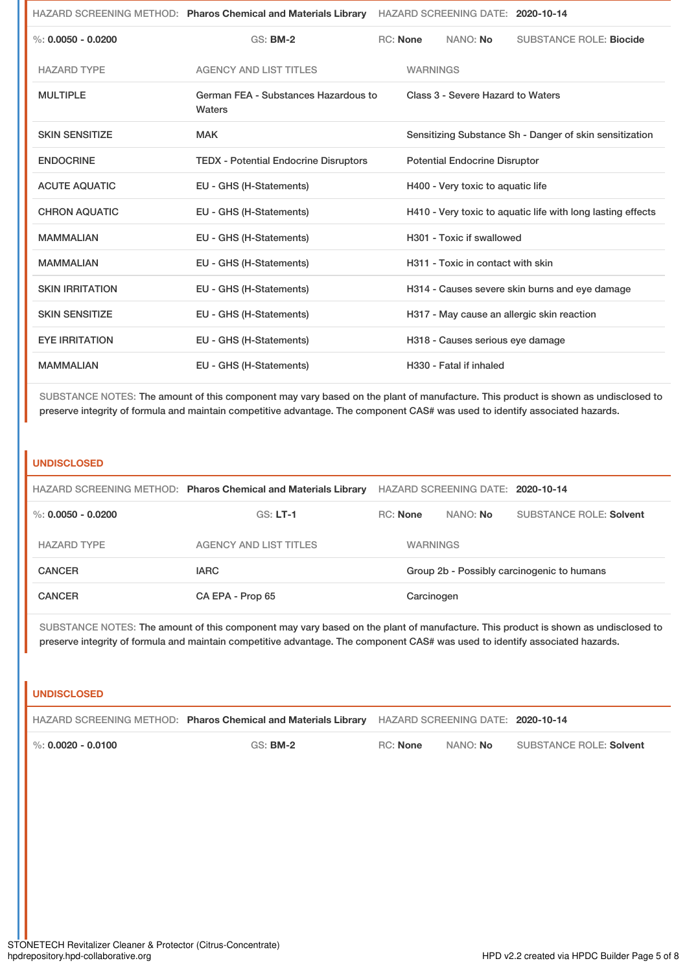|                        |                                                |                 | HAZARD SCREENING METHOD: Pharos Chemical and Materials Library HAZARD SCREENING DATE: 2020-10-14 |                                      |                                                         |
|------------------------|------------------------------------------------|-----------------|--------------------------------------------------------------------------------------------------|--------------------------------------|---------------------------------------------------------|
| %: $0.0050 - 0.0200$   | <b>GS: BM-2</b>                                | <b>RC:</b> None |                                                                                                  | NANO: No                             | <b>SUBSTANCE ROLE: Biocide</b>                          |
| <b>HAZARD TYPE</b>     | <b>AGENCY AND LIST TITLES</b>                  |                 | <b>WARNINGS</b>                                                                                  |                                      |                                                         |
| <b>MULTIPLE</b>        | German FEA - Substances Hazardous to<br>Waters |                 |                                                                                                  | Class 3 - Severe Hazard to Waters    |                                                         |
| <b>SKIN SENSITIZE</b>  | <b>MAK</b>                                     |                 |                                                                                                  |                                      | Sensitizing Substance Sh - Danger of skin sensitization |
| <b>ENDOCRINE</b>       | <b>TEDX - Potential Endocrine Disruptors</b>   |                 |                                                                                                  | <b>Potential Endocrine Disruptor</b> |                                                         |
| <b>ACUTE AQUATIC</b>   | EU - GHS (H-Statements)                        |                 | H400 - Very toxic to aquatic life                                                                |                                      |                                                         |
| <b>CHRON AQUATIC</b>   | EU - GHS (H-Statements)                        |                 | H410 - Very toxic to aquatic life with long lasting effects                                      |                                      |                                                         |
| <b>MAMMALIAN</b>       | EU - GHS (H-Statements)                        |                 | H301 - Toxic if swallowed                                                                        |                                      |                                                         |
| <b>MAMMALIAN</b>       | EU - GHS (H-Statements)                        |                 | H311 - Toxic in contact with skin                                                                |                                      |                                                         |
| <b>SKIN IRRITATION</b> | EU - GHS (H-Statements)                        |                 |                                                                                                  |                                      | H314 - Causes severe skin burns and eye damage          |
| <b>SKIN SENSITIZE</b>  | EU - GHS (H-Statements)                        |                 |                                                                                                  |                                      | H317 - May cause an allergic skin reaction              |
| <b>EYE IRRITATION</b>  | EU - GHS (H-Statements)                        |                 |                                                                                                  | H318 - Causes serious eye damage     |                                                         |
| <b>MAMMALIAN</b>       | EU - GHS (H-Statements)                        |                 |                                                                                                  | H330 - Fatal if inhaled              |                                                         |

SUBSTANCE NOTES: The amount of this component may vary based on the plant of manufacture. This product is shown as undisclosed to preserve integrity of formula and maintain competitive advantage. The component CAS# was used to identify associated hazards.

### **UNDISCLOSED**

|                      | HAZARD SCREENING METHOD: Pharos Chemical and Materials Library |                 | HAZARD SCREENING DATE: 2020-10-14 |                                            |
|----------------------|----------------------------------------------------------------|-----------------|-----------------------------------|--------------------------------------------|
| %: $0.0050 - 0.0200$ | $GS: LT-1$                                                     | RC: None        | NANO: No                          | <b>SUBSTANCE ROLE: Solvent</b>             |
| <b>HAZARD TYPE</b>   | AGENCY AND LIST TITLES                                         | <b>WARNINGS</b> |                                   |                                            |
| <b>CANCER</b>        | <b>IARC</b>                                                    |                 |                                   | Group 2b - Possibly carcinogenic to humans |
| <b>CANCER</b>        | CA EPA - Prop 65                                               | Carcinogen      |                                   |                                            |

SUBSTANCE NOTES: The amount of this component may vary based on the plant of manufacture. This product is shown as undisclosed to preserve integrity of formula and maintain competitive advantage. The component CAS# was used to identify associated hazards.

### **UNDISCLOSED**

|                        | HAZARD SCREENING METHOD: Pharos Chemical and Materials Library HAZARD SCREENING DATE: 2020-10-14 |          |          |                         |
|------------------------|--------------------------------------------------------------------------------------------------|----------|----------|-------------------------|
| $\%$ : 0.0020 - 0.0100 | <b>GS: BM-2</b>                                                                                  | RC: None | NANO: No | SUBSTANCE ROLE: Solvent |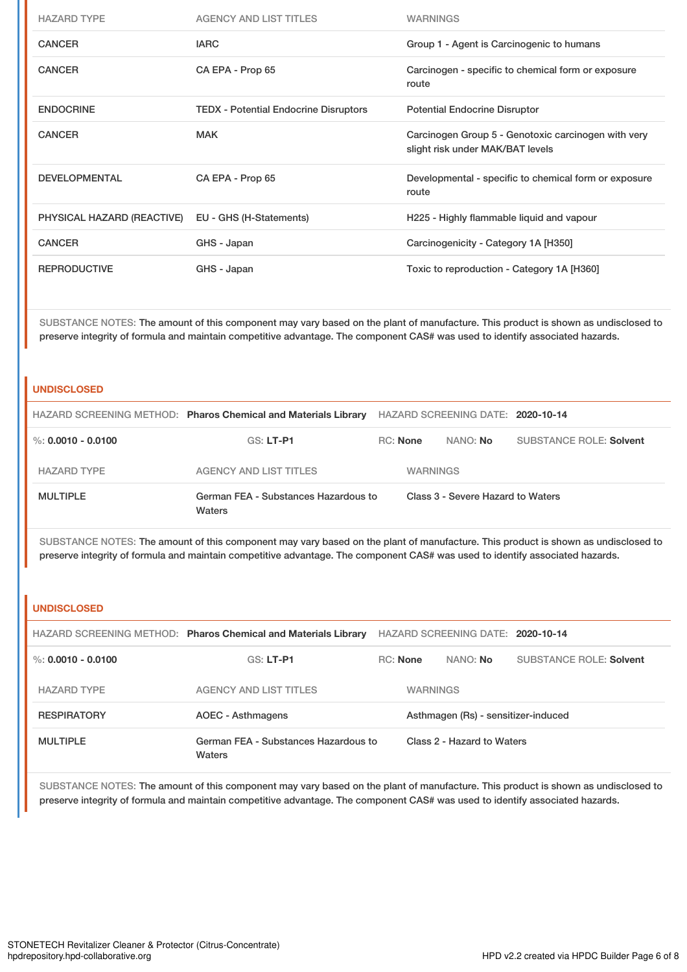| <b>HAZARD TYPE</b>         | <b>AGENCY AND LIST TITLES</b>                | <b>WARNINGS</b>                                                                         |
|----------------------------|----------------------------------------------|-----------------------------------------------------------------------------------------|
| <b>CANCER</b>              | <b>IARC</b>                                  | Group 1 - Agent is Carcinogenic to humans                                               |
| <b>CANCER</b>              | CA EPA - Prop 65                             | Carcinogen - specific to chemical form or exposure<br>route                             |
| <b>ENDOCRINE</b>           | <b>TEDX</b> - Potential Endocrine Disruptors | <b>Potential Endocrine Disruptor</b>                                                    |
| <b>CANCER</b>              | <b>MAK</b>                                   | Carcinogen Group 5 - Genotoxic carcinogen with very<br>slight risk under MAK/BAT levels |
| <b>DEVELOPMENTAL</b>       | CA EPA - Prop 65                             | Developmental - specific to chemical form or exposure<br>route                          |
| PHYSICAL HAZARD (REACTIVE) | EU - GHS (H-Statements)                      | H225 - Highly flammable liquid and vapour                                               |
| <b>CANCER</b>              | GHS - Japan                                  | Carcinogenicity - Category 1A [H350]                                                    |
| <b>REPRODUCTIVE</b>        | GHS - Japan                                  | Toxic to reproduction - Category 1A [H360]                                              |

SUBSTANCE NOTES: The amount of this component may vary based on the plant of manufacture. This product is shown as undisclosed to preserve integrity of formula and maintain competitive advantage. The component CAS# was used to identify associated hazards.

### **UNDISCLOSED**

|                    | HAZARD SCREENING METHOD: Pharos Chemical and Materials Library |                 | HAZARD SCREENING DATE: 2020-10-14 |                                |
|--------------------|----------------------------------------------------------------|-----------------|-----------------------------------|--------------------------------|
| %: 0.0010 - 0.0100 | $GS: LT-PI$                                                    | <b>RC:</b> None | NANO: <b>No</b>                   | <b>SUBSTANCE ROLE: Solvent</b> |
| <b>HAZARD TYPE</b> | AGENCY AND LIST TITLES                                         |                 | <b>WARNINGS</b>                   |                                |
| <b>MULTIPLE</b>    | German FEA - Substances Hazardous to<br>Waters                 |                 | Class 3 - Severe Hazard to Waters |                                |

SUBSTANCE NOTES: The amount of this component may vary based on the plant of manufacture. This product is shown as undisclosed to preserve integrity of formula and maintain competitive advantage. The component CAS# was used to identify associated hazards.

#### **UNDISCLOSED**

|                      | HAZARD SCREENING METHOD: Pharos Chemical and Materials Library |                 |                 | HAZARD SCREENING DATE: 2020-10-14   |                                |
|----------------------|----------------------------------------------------------------|-----------------|-----------------|-------------------------------------|--------------------------------|
| %: $0.0010 - 0.0100$ | $GS: LT-P1$                                                    | <b>RC:</b> None |                 | NANO: No                            | <b>SUBSTANCE ROLE: Solvent</b> |
| <b>HAZARD TYPE</b>   | <b>AGENCY AND LIST TITLES</b>                                  |                 | <b>WARNINGS</b> |                                     |                                |
| <b>RESPIRATORY</b>   | AOEC - Asthmagens                                              |                 |                 | Asthmagen (Rs) - sensitizer-induced |                                |
| <b>MULTIPLE</b>      | German FEA - Substances Hazardous to<br>Waters                 |                 |                 | Class 2 - Hazard to Waters          |                                |

SUBSTANCE NOTES: The amount of this component may vary based on the plant of manufacture. This product is shown as undisclosed to preserve integrity of formula and maintain competitive advantage. The component CAS# was used to identify associated hazards.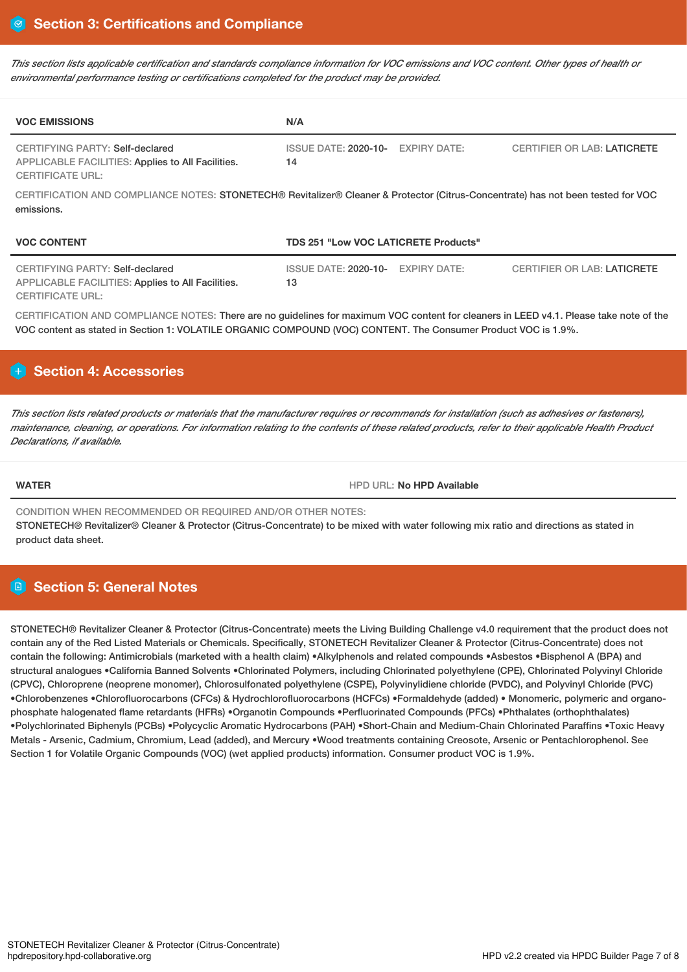This section lists applicable certification and standards compliance information for VOC emissions and VOC content. Other types of health or *environmental performance testing or certifications completed for the product may be provided.*

| <b>VOC EMISSIONS</b>                                                                                            | N/A                                                                                                                              |
|-----------------------------------------------------------------------------------------------------------------|----------------------------------------------------------------------------------------------------------------------------------|
| CERTIFYING PARTY: Self-declared<br>APPLICABLE FACILITIES: Applies to All Facilities.<br><b>CERTIFICATE URL:</b> | ISSUE DATE: 2020-10- EXPIRY DATE:<br><b>CERTIFIER OR LAB: LATICRETE</b><br>14                                                    |
| emissions.                                                                                                      | CERTIFICATION AND COMPLIANCE NOTES: STONETECH® Revitalizer® Cleaner & Protector (Citrus-Concentrate) has not been tested for VOC |
| <b>VOC CONTENT</b>                                                                                              | <b>TDS 251 "Low VOC LATICRETE Products"</b>                                                                                      |

CERTIFYING PARTY: Self-declared APPLICABLE FACILITIES: Applies to All Facilities. CERTIFICATE URL:

CERTIFICATION AND COMPLIANCE NOTES: There are no guidelines for maximum VOC content for cleaners in LEED v4.1. Please take note of the VOC content as stated in Section 1: VOLATILE ORGANIC COMPOUND (VOC) CONTENT. The Consumer Product VOC is 1.9%.

13

ISSUE DATE: 2020-10- EXPIRY DATE:

# **Section 4: Accessories**

This section lists related products or materials that the manufacturer requires or recommends for installation (such as adhesives or fasteners), maintenance, cleaning, or operations. For information relating to the contents of these related products, refer to their applicable Health Product *Declarations, if available.*

**WATER WATER HPD** URL: **No HPD Available** 

CONDITION WHEN RECOMMENDED OR REQUIRED AND/OR OTHER NOTES:

STONETECH® Revitalizer® Cleaner & Protector (Citrus-Concentrate) to be mixed with water following mix ratio and directions as stated in product data sheet.

# **Section 5: General Notes**

STONETECH® Revitalizer Cleaner & Protector (Citrus-Concentrate) meets the Living Building Challenge v4.0 requirement that the product does not contain any of the Red Listed Materials or Chemicals. Specifically, STONETECH Revitalizer Cleaner & Protector (Citrus-Concentrate) does not contain the following: Antimicrobials (marketed with a health claim) •Alkylphenols and related compounds •Asbestos •Bisphenol A (BPA) and structural analogues •California Banned Solvents •Chlorinated Polymers, including Chlorinated polyethylene (CPE), Chlorinated Polyvinyl Chloride (CPVC), Chloroprene (neoprene monomer), Chlorosulfonated polyethylene (CSPE), Polyvinylidiene chloride (PVDC), and Polyvinyl Chloride (PVC) •Chlorobenzenes •Chlorofluorocarbons (CFCs) & Hydrochlorofluorocarbons (HCFCs) •Formaldehyde (added) • Monomeric, polymeric and organophosphate halogenated flame retardants (HFRs) •Organotin Compounds •Perfluorinated Compounds (PFCs) •Phthalates (orthophthalates) •Polychlorinated Biphenyls (PCBs) •Polycyclic Aromatic Hydrocarbons (PAH) •Short-Chain and Medium-Chain Chlorinated Paraffins •Toxic Heavy Metals - Arsenic, Cadmium, Chromium, Lead (added), and Mercury •Wood treatments containing Creosote, Arsenic or Pentachlorophenol. See Section 1 for Volatile Organic Compounds (VOC) (wet applied products) information. Consumer product VOC is 1.9%.

CERTIFIER OR LAB: LATICRETE